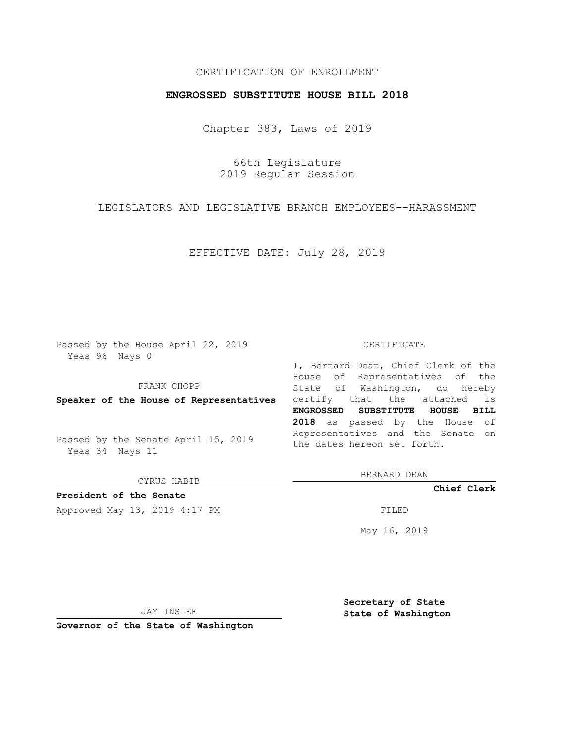## CERTIFICATION OF ENROLLMENT

## **ENGROSSED SUBSTITUTE HOUSE BILL 2018**

Chapter 383, Laws of 2019

66th Legislature 2019 Regular Session

LEGISLATORS AND LEGISLATIVE BRANCH EMPLOYEES--HARASSMENT

EFFECTIVE DATE: July 28, 2019

Passed by the House April 22, 2019 Yeas 96 Nays 0

FRANK CHOPP

Passed by the Senate April 15, 2019 Yeas 34 Nays 11

CYRUS HABIB

**President of the Senate**

Approved May 13, 2019 4:17 PM

#### CERTIFICATE

**Speaker of the House of Representatives** certify that the attached is I, Bernard Dean, Chief Clerk of the House of Representatives of the State of Washington, do hereby **ENGROSSED SUBSTITUTE HOUSE BILL 2018** as passed by the House of Representatives and the Senate on the dates hereon set forth.

BERNARD DEAN

**Chief Clerk**

May 16, 2019

JAY INSLEE

**Governor of the State of Washington**

**Secretary of State State of Washington**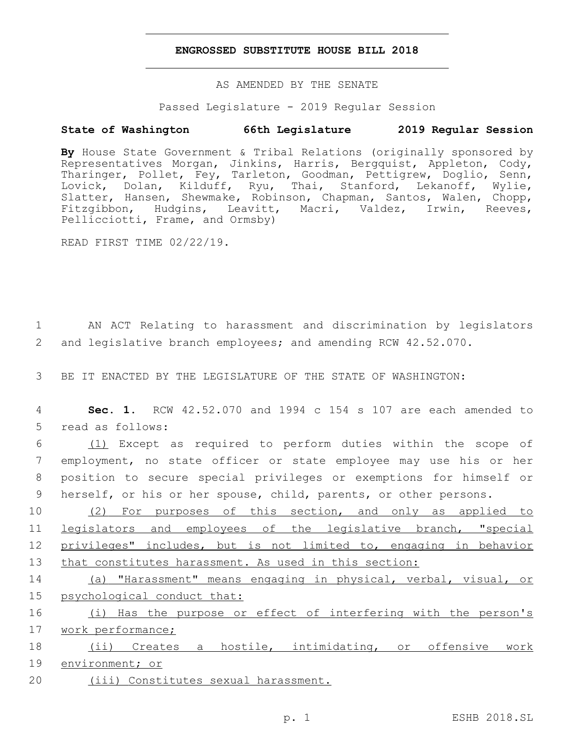## **ENGROSSED SUBSTITUTE HOUSE BILL 2018**

AS AMENDED BY THE SENATE

Passed Legislature - 2019 Regular Session

# **State of Washington 66th Legislature 2019 Regular Session**

**By** House State Government & Tribal Relations (originally sponsored by Representatives Morgan, Jinkins, Harris, Bergquist, Appleton, Cody, Tharinger, Pollet, Fey, Tarleton, Goodman, Pettigrew, Doglio, Senn, Lovick, Dolan, Kilduff, Ryu, Thai, Stanford, Lekanoff, Wylie, Slatter, Hansen, Shewmake, Robinson, Chapman, Santos, Walen, Chopp, Fitzgibbon, Hudgins, Leavitt, Macri, Valdez, Irwin, Reeves, Pellicciotti, Frame, and Ormsby)

READ FIRST TIME 02/22/19.

1 AN ACT Relating to harassment and discrimination by legislators 2 and legislative branch employees; and amending RCW 42.52.070.

3 BE IT ENACTED BY THE LEGISLATURE OF THE STATE OF WASHINGTON:

4 **Sec. 1.** RCW 42.52.070 and 1994 c 154 s 107 are each amended to 5 read as follows:

 (1) Except as required to perform duties within the scope of employment, no state officer or state employee may use his or her position to secure special privileges or exemptions for himself or herself, or his or her spouse, child, parents, or other persons.

10 (2) For purposes of this section, and only as applied to legislators and employees of the legislative branch, "special privileges" includes, but is not limited to, engaging in behavior that constitutes harassment. As used in this section:

14 (a) "Harassment" means engaging in physical, verbal, visual, or 15 psychological conduct that:

16 (i) Has the purpose or effect of interfering with the person's 17 work performance;

18 (ii) Creates a hostile, intimidating, or offensive work 19 environment; or

20 (iii) Constitutes sexual harassment.